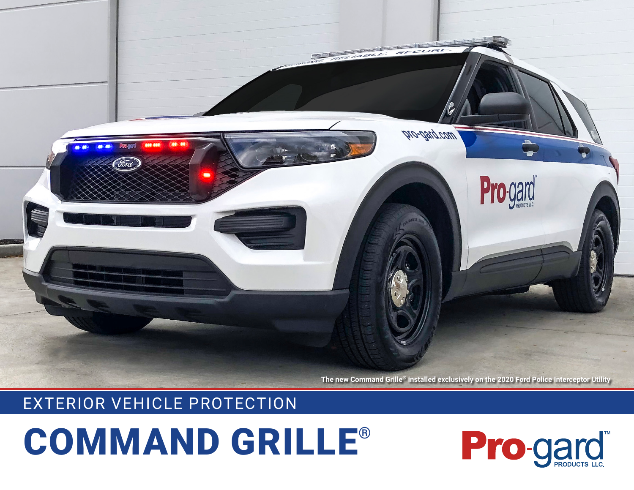

**The new Command Grille® installed exclusively on the 2020 Ford Police Interceptor Utility**

## EXTERIOR VEHICLE PROTECTION

## COMMAND GRILLE®